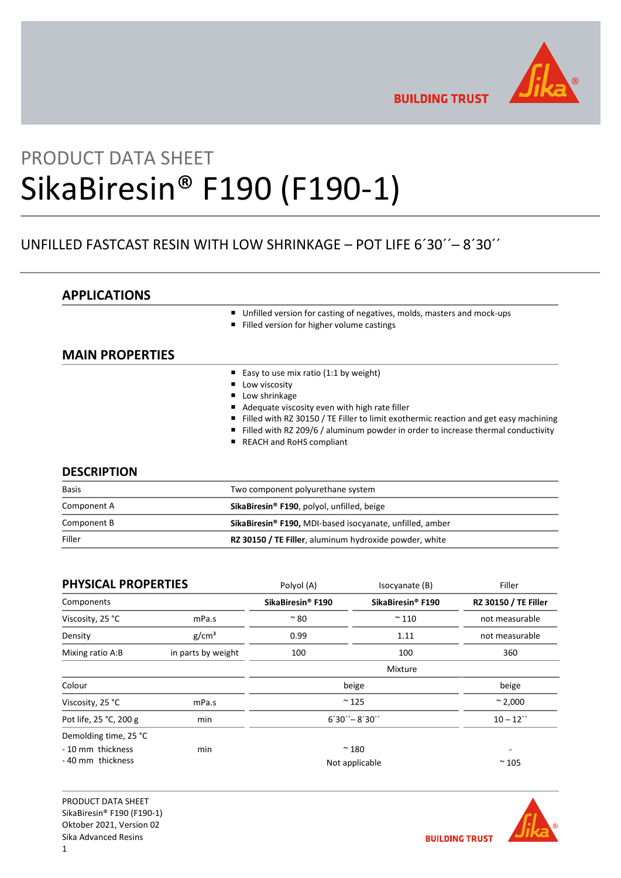

**BUILDING TRUST** 

# PRODUCT DATA SHEET SikaBiresin® F190 (F190-1)

## UNFILLED FASTCAST RESIN WITH LOW SHRINKAGE – POT LIFE 6´30´´─ 8´30´´

## APPLICATIONS

- Unfilled version for casting of negatives, molds, masters and mock-ups
- Filled version for higher volume castings

## MAIN PROPERTIES

- Easy to use mix ratio (1:1 by weight)
- **Low viscosity**
- **Low shrinkage**
- Adequate viscosity even with high rate filler
- Filled with RZ 30150 / TE Filler to limit exothermic reaction and get easy machining
- Filled with RZ 209/6 / aluminum powder in order to increase thermal conductivity
- REACH and RoHS compliant

## **DESCRIPTION**

| <b>Basis</b> | Two component polyurethane system                                          |  |
|--------------|----------------------------------------------------------------------------|--|
| Component A  | SikaBiresin <sup>®</sup> F190, polyol, unfilled, beige                     |  |
| Component B  | <b>SikaBiresin<sup>®</sup> F190, MDI-based isocyanate, unfilled, amber</b> |  |
| Filler       | RZ 30150 / TE Filler, aluminum hydroxide powder, white                     |  |

| <b>PHYSICAL PROPERTIES</b> |                    | Polyol (A)                    | Isocyanate (B)                | Filler                      |
|----------------------------|--------------------|-------------------------------|-------------------------------|-----------------------------|
| Components                 |                    | SikaBiresin <sup>®</sup> F190 | SikaBiresin <sup>®</sup> F190 | <b>RZ 30150 / TE Filler</b> |
| Viscosity, 25 °C           | mPa.s              | $~^{\sim}$ 80                 | $~^{\sim}$ 110                | not measurable              |
| Density                    | g/cm <sup>3</sup>  | 0.99                          | 1.11                          | not measurable              |
| Mixing ratio A:B           | in parts by weight | 100                           | 100                           | 360                         |
|                            |                    |                               | Mixture                       |                             |
| Colour                     |                    |                               | beige                         | beige                       |
| Viscosity, 25 °C           | mPa.s              | $~^{\sim}$ 125                |                               | $~^{\sim}$ 2,000            |
| Pot life, 25 °C, 200 g     | min                | $6'30'' - 8'30''$             |                               | $10 - 12$                   |
| Demolding time, 25 °C      |                    |                               |                               |                             |
| - 10 mm thickness          | min                |                               | $~^{\sim}$ 180                |                             |
| - 40 mm thickness          |                    | Not applicable                |                               | $~\sim$ 105                 |

PRODUCT DATA SHEET SikaBiresin® F190 (F190-1) Oktober 2021, Version 02 Sika Advanced Resins

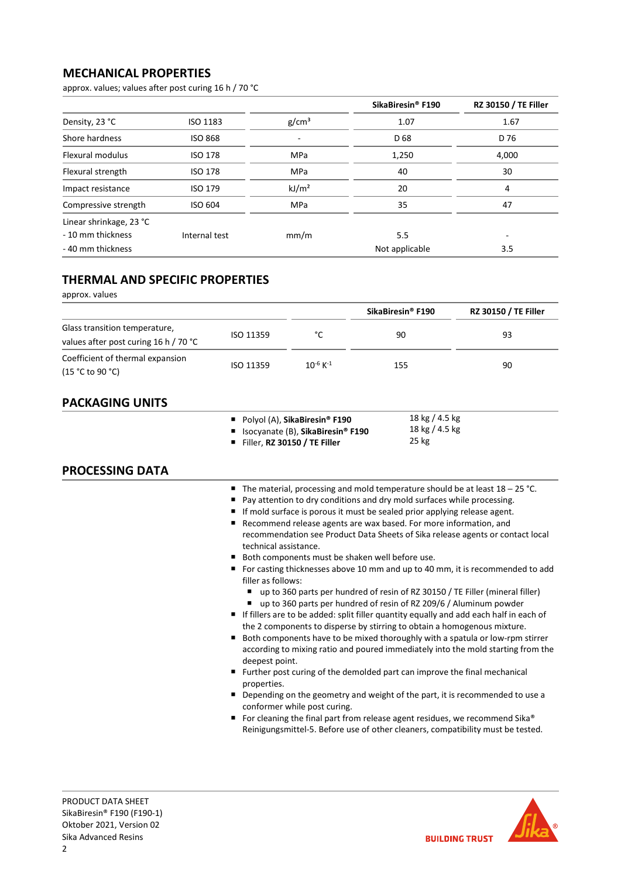## MECHANICAL PROPERTIES

approx. values; values after post curing 16 h / 70 °C

|                         |                 |                   | SikaBiresin <sup>®</sup> F190 | <b>RZ 30150 / TE Filler</b> |
|-------------------------|-----------------|-------------------|-------------------------------|-----------------------------|
| Density, 23 °C          | <b>ISO 1183</b> | g/cm <sup>3</sup> | 1.07                          | 1.67                        |
| Shore hardness          | <b>ISO 868</b>  |                   | D 68                          | D 76                        |
| Flexural modulus        | <b>ISO 178</b>  | <b>MPa</b>        | 1,250                         | 4,000                       |
| Flexural strength       | <b>ISO 178</b>  | <b>MPa</b>        | 40                            | 30                          |
| Impact resistance       | ISO 179         | kJ/m <sup>2</sup> | 20                            | 4                           |
| Compressive strength    | ISO 604         | <b>MPa</b>        | 35                            | 47                          |
| Linear shrinkage, 23 °C |                 |                   |                               |                             |
| - 10 mm thickness       | Internal test   | mm/m              | 5.5                           |                             |
| - 40 mm thickness       |                 |                   | Not applicable                | 3.5                         |

## THERMAL AND SPECIFIC PROPERTIES

approx. values

|                                                                        |           |                           | SikaBiresin <sup>®</sup> F190 | <b>RZ 30150 / TE Filler</b> |
|------------------------------------------------------------------------|-----------|---------------------------|-------------------------------|-----------------------------|
| Glass transition temperature,<br>values after post curing 16 h / 70 °C | ISO 11359 | °۲                        | 90                            | 93                          |
| Coefficient of thermal expansion<br>(15 °C to 90 °C)                   | ISO 11359 | $10^{-6}$ K <sup>-1</sup> | 155                           | 90                          |

## PACKAGING UNITS

| Polyol (A), SikaBiresin® F190                   | 18 kg / 4.5 kg |
|-------------------------------------------------|----------------|
| ■ Isocyanate (B), SikaBiresin <sup>®</sup> F190 | 18 kg / 4.5 kg |
| $\blacksquare$ Filler R7 30150 / TF Filler      | 25 kg          |

Filler, RZ 30150 / TE Filler

## PROCESSING DATA

- The material, processing and mold temperature should be at least 18 25 °C.
- Pay attention to dry conditions and dry mold surfaces while processing.
- If mold surface is porous it must be sealed prior applying release agent.
- Recommend release agents are wax based. For more information, and recommendation see Product Data Sheets of Sika release agents or contact local technical assistance.
- Both components must be shaken well before use.
- For casting thicknesses above 10 mm and up to 40 mm, it is recommended to add filler as follows:
	- up to 360 parts per hundred of resin of RZ 30150 / TE Filler (mineral filler) ■ up to 360 parts per hundred of resin of RZ 209/6 / Aluminum powder
- $\blacksquare$  If fillers are to be added: split filler quantity equally and add each half in each of the 2 components to disperse by stirring to obtain a homogenous mixture.
- Both components have to be mixed thoroughly with a spatula or low-rpm stirrer according to mixing ratio and poured immediately into the mold starting from the deepest point.
- Further post curing of the demolded part can improve the final mechanical properties.
- Depending on the geometry and weight of the part, it is recommended to use a conformer while post curing.
- For cleaning the final part from release agent residues, we recommend Sika® Reinigungsmittel-5. Before use of other cleaners, compatibility must be tested.

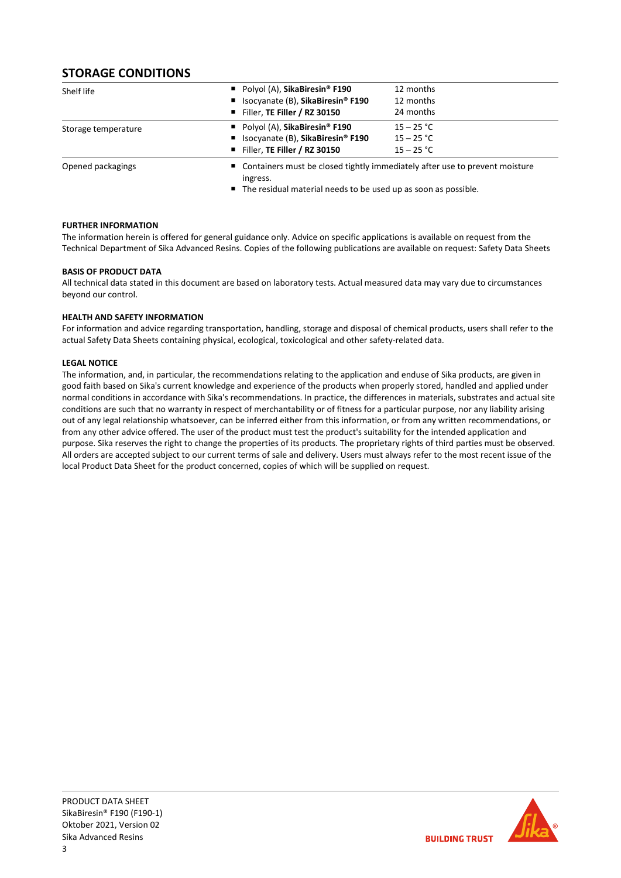## STORAGE CONDITIONS

| Shelf life          | Polyol (A), SikaBiresin <sup>®</sup> F190 | 12 months                                                                     |  |  |
|---------------------|-------------------------------------------|-------------------------------------------------------------------------------|--|--|
|                     | ■ Isocyanate (B), SikaBiresin® F190       | 12 months                                                                     |  |  |
|                     | Filler, TE Filler / RZ 30150              | 24 months                                                                     |  |  |
| Storage temperature | Polyol (A), SikaBiresin <sup>®</sup> F190 | $15 - 25 °C$                                                                  |  |  |
|                     | ■ Isocyanate (B), SikaBiresin® F190       | $15 - 25 °C$                                                                  |  |  |
|                     | Filler, TE Filler / RZ 30150              | $15 - 25 °C$                                                                  |  |  |
| Opened packagings   | ingress.                                  | ■ Containers must be closed tightly immediately after use to prevent moisture |  |  |

■ The residual material needs to be used up as soon as possible.

## FURTHER INFORMATION

The information herein is offered for general guidance only. Advice on specific applications is available on request from the Technical Department of Sika Advanced Resins. Copies of the following publications are available on request: Safety Data Sheets

## BASIS OF PRODUCT DATA

All technical data stated in this document are based on laboratory tests. Actual measured data may vary due to circumstances beyond our control.

## HEALTH AND SAFETY INFORMATION

For information and advice regarding transportation, handling, storage and disposal of chemical products, users shall refer to the actual Safety Data Sheets containing physical, ecological, toxicological and other safety-related data.

## LEGAL NOTICE

The information, and, in particular, the recommendations relating to the application and enduse of Sika products, are given in good faith based on Sika's current knowledge and experience of the products when properly stored, handled and applied under normal conditions in accordance with Sika's recommendations. In practice, the differences in materials, substrates and actual site conditions are such that no warranty in respect of merchantability or of fitness for a particular purpose, nor any liability arising out of any legal relationship whatsoever, can be inferred either from this information, or from any written recommendations, or from any other advice offered. The user of the product must test the product's suitability for the intended application and purpose. Sika reserves the right to change the properties of its products. The proprietary rights of third parties must be observed. All orders are accepted subject to our current terms of sale and delivery. Users must always refer to the most recent issue of the local Product Data Sheet for the product concerned, copies of which will be supplied on request.